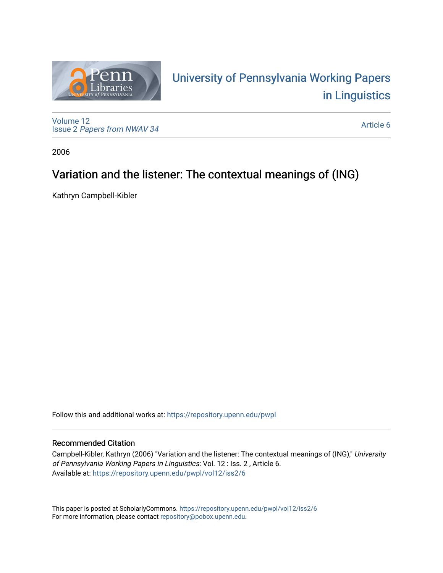

# University of P[ennsylvania Working P](https://repository.upenn.edu/pwpl)apers [in Linguistics](https://repository.upenn.edu/pwpl)

[Volume 12](https://repository.upenn.edu/pwpl/vol12) Issue 2 [Papers from NWAV 34](https://repository.upenn.edu/pwpl/vol12/iss2)

[Article 6](https://repository.upenn.edu/pwpl/vol12/iss2/6) 

2006

# Variation and the listener: The contextual meanings of (ING)

Kathryn Campbell-Kibler

Follow this and additional works at: [https://repository.upenn.edu/pwpl](https://repository.upenn.edu/pwpl?utm_source=repository.upenn.edu%2Fpwpl%2Fvol12%2Fiss2%2F6&utm_medium=PDF&utm_campaign=PDFCoverPages) 

## Recommended Citation

Campbell-Kibler, Kathryn (2006) "Variation and the listener: The contextual meanings of (ING)," University of Pennsylvania Working Papers in Linguistics: Vol. 12 : Iss. 2 , Article 6. Available at: [https://repository.upenn.edu/pwpl/vol12/iss2/6](https://repository.upenn.edu/pwpl/vol12/iss2/6?utm_source=repository.upenn.edu%2Fpwpl%2Fvol12%2Fiss2%2F6&utm_medium=PDF&utm_campaign=PDFCoverPages) 

This paper is posted at ScholarlyCommons.<https://repository.upenn.edu/pwpl/vol12/iss2/6> For more information, please contact [repository@pobox.upenn.edu.](mailto:repository@pobox.upenn.edu)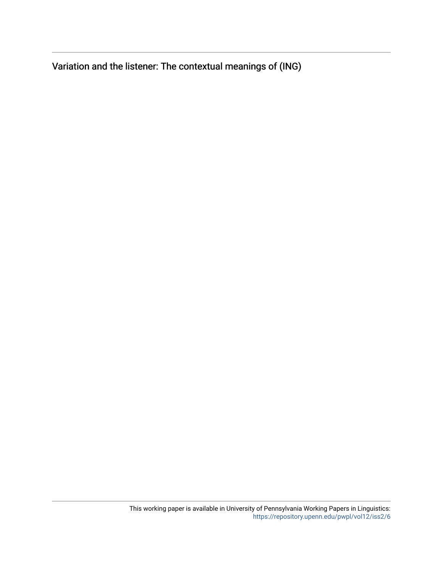Variation and the listener: The contextual meanings of (ING)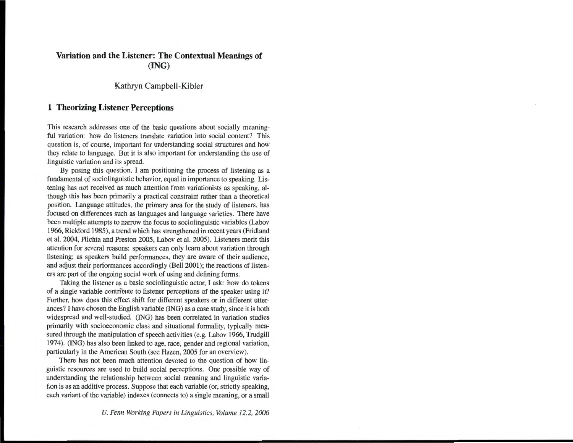### **Variation and the Listener: The Contextual Meanings of (lNG)**

Kathryn Campbell-Kibler

#### **1 Theorizing Listener Perceptions**

This research addresses one of the basic questions about socially meaningful variation: how do listeners translate variation into social content? This question is, of course, important for understanding social structures and how they relate to language. But it is also important for understanding the use of linguistic variation and its spread.

By posing this question, I am positioning the process of listening as a fundamental of sociolinguistic behavior, equal in importance to speaking. Listening has not received as much attention from variationists as speaking, although this has been primarily a practical constraint rather than a theoretical position. Language attitudes, the primary area for the study of listeners, has focused on differences such as languages and language varieties. There have been multiple attempts to narrow the focus to sociolinguistic variables (Labov 1966, Rickford 1985), a trend which has strengthened in recent years (Fridland et al. 2004, Plichta and Preston 2005, Labov et al. 2005). Listeners merit this attention for several reasons: speakers can only learn about variation through listening; as speakers build performances, they are aware of their audience, and adjust their performances accordingly (Bell 2001); the reactions of listeners are part of the ongoing social work of using and defining forms.

Taking the listener as a basic sociolinguistic actor, I ask: how do tokens of a single variable contribute to listener perceptions of the speaker using it? Further, how does this effect shift for different speakers or in different utterances? I have chosen the English variable (lNG) as a case study, since it is both widespread and well-studied. (lNG) has been correlated in variation studies primarily with socioeconomic class and situational formality, typically measured through the manipulation of speech activities (e.g. Labov 1966, Trudgill 1974). (lNG) has also been linked to age, race, gender and regional variation, particularly in the American South (see Hazen, 2005 for an overview).

There has not been much attention devoted to the question of how linguistic resources are used to build social perceptions. One possible way of understanding the relationship between social meaning and linguistic variation is as an additive process. Suppose that each variable (or, strictly speaking, each variant of the variable) indexes (connects to) a single meaning, or a small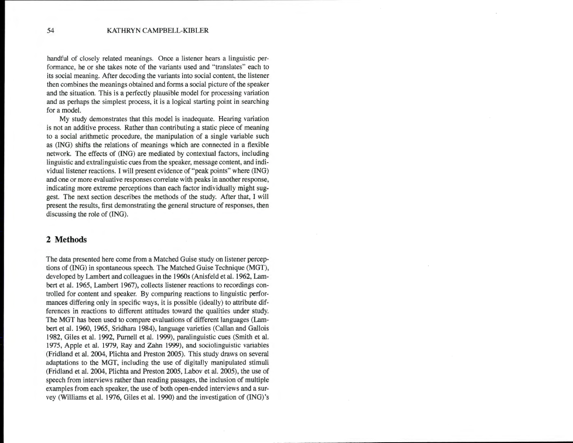handful of closely related meanings. Once a listener hears a linguistic performance, he or she takes note of the variants used and "translates" each to its social meaning. After decoding the variants into social content, the listener then combines the meanings obtained and forms a social picture of the speaker and the situation. This is a perfectly plausible model for processing variation and as perhaps the simplest process, it is a logical starting point in searching for a model.

My study demonstrates that this model is inadequate. Hearing variation is not an additive process. Rather than contributing a static piece of meaning to a social arithmetic procedure, the manipulation of a single variable such as (lNG) shifts the relations of meanings which are connected in a flexible network. The effects of (lNG) are mediated by contextual factors, including linguistic and extralinguistic cues from the speaker, message content, and individual listener reactions. I will present evidence of "peak points" where (ING) and one or more evaluative responses correlate with peaks in another response, indicating more extreme perceptions than each factor individually might suggest. The next section describes the methods of the study. After that, I will present the results, first demonstrating the general structure of responses, then discussing the role of (ING).

## **2 Methods**

The data presented here come from a Matched Guise study on listener perceptions of (lNG) in spontaneous speech. The Matched Guise Technique (MGT), developed by Lambert and colleagues in the 1960s (Anisfeld et al. 1962, Lambert et al. 1965, Lambert 1967), collects listener reactions to recordings controlled for content and speaker. By comparing reactions to linguistic performances differing only in specific ways, it is possible (ideally) to attribute differences in reactions to different attitudes toward the qualities under study. The MGT has been used to compare evaluations of different languages (Lambert et al. 1960, 1965, Sridhara 1984), language varieties (Callan and Gallais 1982, Giles et al. 1992, Purnell et al. 1999), paralinguistic cues (Smith et al. 1975, Apple et al. 1979, Ray and Zahn 1999), and sociolinguistic variables (Fridland et al. 2004, Plichta and Preston 2005). This study draws on several adaptations to the MGT, including the use of digitally manipulated stimuli (Fridland et al. 2004, Plichta and Preston 2005, Labov et al. 2005), the use of speech from interviews rather than reading passages, the inclusion of multiple examples from each speaker, the use of both open-ended interviews and a survey (Williams et al. 1976, Giles et al. 1990) and the investigation of (ING) 's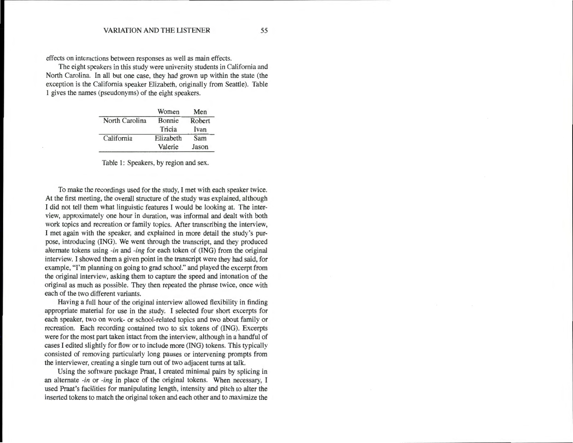effects on interactions between responses as well as main effects.

The eight speakers in this study were university students in California and North Carolina. In all but one case, they had grown up within the state (the exception is the California speaker Elizabeth, originally from Seattle). Table 1 gives the names (pseudonyms) of the eight speakers.

|                | Women     | Men    |  |
|----------------|-----------|--------|--|
| North Carolina | Bonnie    | Robert |  |
|                | Tricia    | Ivan   |  |
| California     | Elizabeth | Sam    |  |
|                | Valerie   | Jason  |  |
|                |           |        |  |

Table 1: Speakers, by region and sex.

To make the recordings used for the study, I met with each speaker twice. At the first meeting, the overall structure of the study was explained, although I did not tell them what linguistic features I would be looking at. The interview, approximately one hour in duration, was informal and dealt with both work topics and recreation or family topics. After transcribing the interview, I met again with the speaker, and explained in more detail the study's purpose, introducing (lNG). We went through the transcript, and they produced alternate tokens using -in and -ing for each token of (lNG) from the original interview. I showed them a given point in the transcript were they had said, for example, "I'm planning on going to grad school." and played the excerpt from the original interview, asking them to capture the speed and intonation of the original as much as possible. They then repeated the phrase twice, once with each of the two different variants.

Having a full hour of the original interview allowed flexibility in finding appropriate material for use in the study. I selected four short excerpts for each speaker, two on work- or school-related topics and two about family or recreation. Each recording contained two to six tokens of (lNG). Excerpts were for the most part taken intact from the interview, although in a handful of cases I edited slightly for flow or to include more (lNG) tokens. This typically consisted of removing particularly long pauses or intervening prompts from the interviewer, creating a single turn out of two adjacent turns at talk.

Using the software package Praat, I created minimal pairs by splicing in an alternate -in or -ing in place of the original tokens. When necessary, I used Praat's facilities for manipulating length, intensity and pitch to alter the inserted tokens to match the original token and each other and to maximize the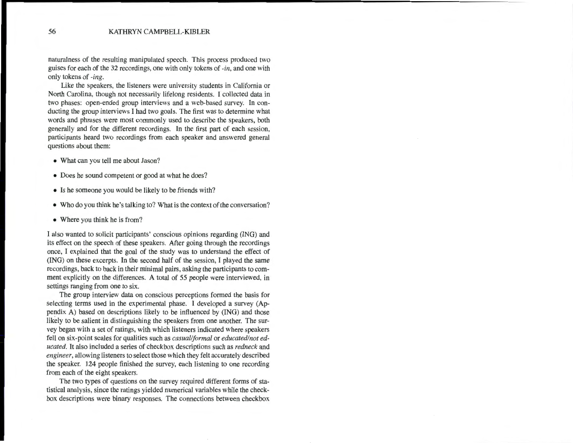naturalness of the resulting manipulated speech. This process produced two guises for each of the 32 recordings, one with only tokens of *-in,* and one with only tokens of *-ing.* 

Like the speakers, the listeners were university students in California or North Carolina, though not necessarily lifelong residents. I collected data in two phases: open-ended group interviews and a web-based survey. In conducting the group interviews I had two goals. The first was to determine what words and phrases were most commonly used to describe the speakers, both generally and for the different recordings. In the first part of each session, participants heard two recordings from each speaker and answered general questions about them:

- What can you tell me about Jason?
- Does he sound competent or good at what he does?
- Is he someone you would be likely to be friends with?
- Who do you think he's talking to? What is the context of the conversation?
- Where you think he is from?

I also wanted to solicit participants' conscious opinions regarding (ING) and its effect on the speech of these speakers. After going through the recordings once, I explained that the goal of the study was to understand the effect of (lNG) on these excerpts. In the second half of the session, I played the same recordings, back to back in their minimal pairs, asking the participants to comment explicitly on the differences. A total of 55 people were interviewed, in settings ranging from one to six.

The group interview data on conscious perceptions formed the basis for selecting terms used in the experimental phase. I developed a survey (Appendix A) based on descriptions likely to be influenced by (lNG) and those likely to be salient in distinguishing the speakers from one another. The survey began with a set of ratings, with which listeners indicated where speakers fell on six-point scales for qualities such as *casual/formal* or *educated/noteducated.* It also included a series of checkbox descriptions such as *redneck* and *engineer,* allowing listeners to select those which they felt accurately described the speaker. 124 people finished the survey, each listening to one recording from each of the eight speakers.

The two types of questions on the survey required different forms of statistical analysis, since the ratings yielded numerical variables while the checkbox descriptions were binary responses. The connections between checkbox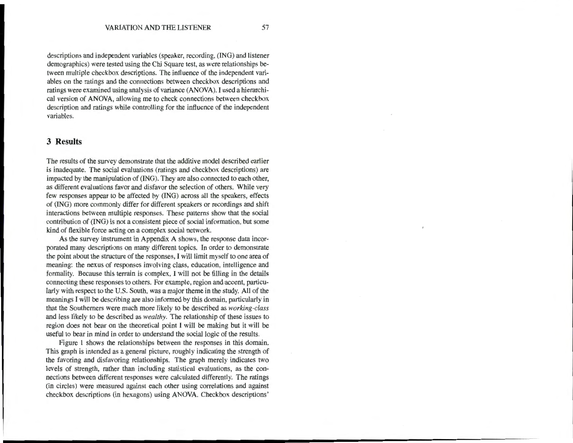descriptions and independent variables (speaker, recording, (lNG) and listener demographics) were tested using the Chi Square test, as were relationships between multiple checkbox descriptions. The influence of the independent variables on the ratings and the connections between checkbox descriptions and ratings were examined using analysis of variance (ANOVA). I used a hierarchical version of ANOVA, allowing me to check connections between checkbox description and ratings while controlling for the influence of the independent variables.

#### **3 Results**

The results of the survey demonstrate that the additive model described earlier is inadequate. The social evaluations (ratings and checkbox descriptions) are impacted by the manipulation of (lNG). They are also connected to each other, as different evaluations favor and disfavor the selection of others. While very few responses appear to be affected by (lNG) across all the speakers, effects of (lNG) more commonly differ for different speakers or recordings and shift interactions between multiple responses. These patterns show that the social contribution of (lNG) is not a consistent piece of social information, but some kind of flexible force acting on a complex social network.

As the survey instrument in Appendix A shows, the response data incorporated many descriptions on many different topics. In order to demonstrate the point about the structure of the responses, I will limit myself to one area of meaning: the nexus of responses involving class, education, intelligence and formality. Because this terrain is complex, I will not be filling in the details connecting these responses to others. For example, region and accent, particularly with respect to the U.S. South, was a major theme in the study. All of the meanings I will be describing are also informed by this domain, particularly in that the Southerners were much more likely to be described as *working-class*  and less likely to be described as *wealthy.* The relationship of these issues to region does not bear on the theoretical point I will be making but it will be useful to bear in mind in order to understand the social logic of the results.

Figure 1 shows the relationships between the responses in this domain. This graph is intended as a general picture, roughly indicating the strength of the favoring and disfavoring relationships. The graph merely indicates two levels of strength, rather than including statistical evaluations, as the connections between different responses were calculated differently. The ratings (in circles) were measured against each other using correlations and against checkbox descriptions (in hexagons) using ANOVA. Checkbox descriptions'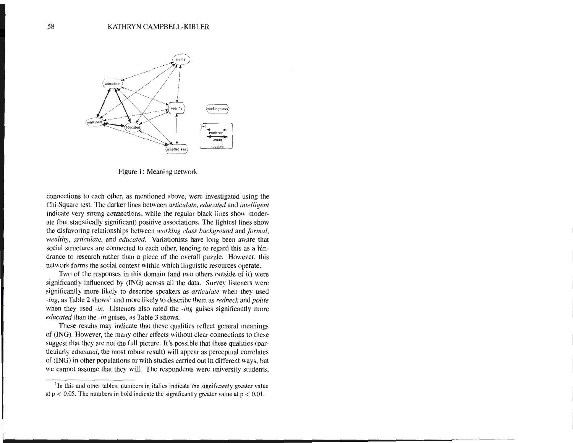

Figure 1: Meaning network

connections to each other, as mentioned above, were investigated using the Chi Square test. The darker lines between *articulate, educated* and *intelligent*  indicate very strong connections, while the regular black lines show moderate (but statistically significant) positive associations. The lightest lines show the disfavoring relationships between *working class background* and *formal, wealthy, articulate, and educated.* Variationists have long been aware that social structures are connected to each other, tending to regard this as a hindrance to research rather than a piece of the overall puzzle. However, this network forms the social context within which linguistic resources operate.

Two of the responses in this domain (and two others outside of it) were significantly influenced by (lNG) across all the data. Survey listeners were significantly more likely to describe speakers as *articulate* when they used *-ing,* as Table 2 shows<sup>1</sup> and more likely to describe them as *redneck* and *polite* when they used *-in.* Listeners also rated the *-ing* guises significantly more *educated* than the *-in* guises, as Table 3 shows.

These results may indicate that these qualities reflect general meanings of (lNG). However, the many other effects without clear connections to these suggest that they are not the full picture. It's possible that these qualities (particularly *educated,* the most robust result) will appear as perceptual correlates of (lNG) in other populations or with studies carried out in different ways, but we cannot assume that they will. The respondents were university students,

 $1$ In this and other tables, numbers in italics indicate the significantly greater value at  $p < 0.05$ . The numbers in bold indicate the significantly greater value at  $p < 0.01$ .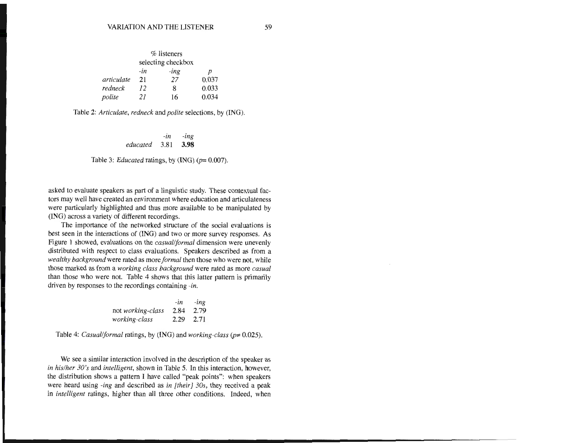|                    |     | % listeners |       |  |
|--------------------|-----|-------------|-------|--|
| selecting checkbox |     |             |       |  |
|                    | -in | -ing        | D     |  |
| articulate         | 21  | 27          | 0.037 |  |
| redneck            | 12  | 8           | 0.033 |  |
| polite             | 21  | 16          | 0.034 |  |

Table 2: *Articulate, redneck* and *polite* selections, by (lNG).

*-in -ing educated* 3.81 **3.98** 

Table 3: *Educated* ratings, by (ING) ( $p=0.007$ ).

asked to evaluate speakers as part of a linguistic study. These contextual factors may well have created an environment where education and articulateness were particularly highlighted and thus more available to be manipulated by (lNG) across a variety of different recordings.

The importance of the networked structure of the social evaluations is best seen in the interactions of (lNG) and two or more survey responses. As Figure 1 showed, evaluations on the *casual/formal* dimension were unevenly distributed with respect to class evaluations. Speakers described as from a *wealthy background* were rated as more *formal* then those who were not, while those marked as from a *working class background* were rated as more *casual*  than those who were not. Table 4 shows that this latter pattern is primarily driven by responses to the recordings containing *-in.* 

|                          | $-1n$     | $-$ ing |
|--------------------------|-----------|---------|
| not <i>working-class</i> | 2.84      | 2.79    |
| working-class            | 2.29 2.71 |         |

Table 4: *Casual/formal* ratings, by (lNG) and *working-class* (p= 0.025).

We see a similar interaction involved in the description of the speaker as *in his/her 30's* and *intelligent,* shown in Table 5. In this interaction, however, the distribution shows a pattern I have called "peak points": when speakers were heard using *-ing* and described as *in [their} 30s,* they received a peak in *intelligent* ratings, higher than all three other conditions. Indeed, when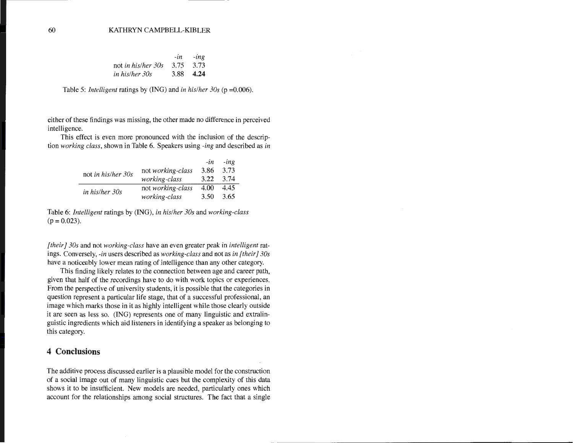60 KATHRYN CAMPBELL-KIBLER

|                              | $-in$ $-ing$ |
|------------------------------|--------------|
| not in his/her 30s 3.75 3.73 |              |
| in his/her 30s               | 3.88 4.24    |

Table 5: *Intelligent* ratings by (lNG) and *in his/her 30s* (p =0.006).

either of these findings was missing, the other made no difference in perceived intelligence.

This effect is even more pronounced with the inclusion of the description *working class,* shown in Table 6. Speakers using *-ing* and described as *in* 

|                    |                   | -in  | -ing |
|--------------------|-------------------|------|------|
| not in his/her 30s | not working-class | 3.86 | 3.73 |
|                    | working-class     | 3.22 | 3.74 |
| in his/her 30s     | not working-class | 4.00 | 4.45 |
|                    | working-class     | 3.50 | 3.65 |

Table 6: *Intelligent* ratings by (lNG), *in his/her 30s* and *working-class*   $(p = 0.023)$ .

*[their* 1 *30s* and not *working-class* have an even greater peak in *intelligent* ratings. Conversely, *-in* users described as *working-class* and not as *in [their]* 30s have a noticeably lower mean rating of intelligence than any other category.

This finding likely relates to the connection between age and career path, given that half of the recordings have to do with work topics or experiences. From the perspective of university students, it is possible that the categories in question represent a particular life stage, that of a successful professional, an image which marks those in it as highly intelligent while those clearly outside it are seen as less so. (lNG) represents one of many linguistic and extralinguistic ingredients which aid listeners in identifying a speaker as belonging to this category.

#### **4 Conclusions**

The additive process discussed earlier is a plausible model for the construction of a social image out of many linguistic cues but the complexity of this data shows it to be insufficient. New models are needed, particularly ones which account for the relationships among social structures. The fact that a single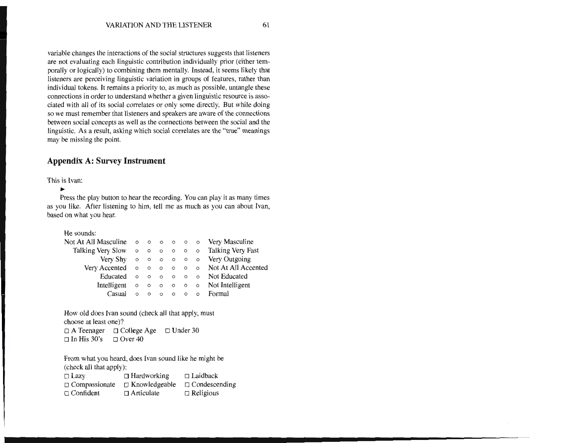variable changes the interactions of the social structures suggests that listeners are not evaluating each linguistic contribution individually prior (either temporally or logically) to combining them mentally. Instead, it seems likely that listeners are perceiving linguistic variation in groups of features, rather than individual tokens. It remains a priority to, as much as possible, untangle these connections in order to understand whether a given linguistic resource is associated with all of its social correlates or only some directly. But while doing so we must remember that listeners and speakers are aware of the connections between social concepts as well as the connections between the social and the linguistic. As a result, asking which social correlates are the "true" meanings may be missing the point.

## **Appendix A: Survey Instrument**

This is Ivan:

....

Press the play button to hear the recording. You can play it as many times as you like. After listening to him, tell me as much as you can about Ivan, based on what you hear.

He sounds:

| Not At All Masculine $\circ \circ \circ \circ \circ \circ \circ \circ \circ$ Very Masculine |  |  |  |                                               |
|---------------------------------------------------------------------------------------------|--|--|--|-----------------------------------------------|
| Talking Very Slow o o o o o o Talking Very Fast                                             |  |  |  |                                               |
|                                                                                             |  |  |  | Very Shy o o o o o o Very Outgoing            |
|                                                                                             |  |  |  | Very Accented o o o o o o Not At All Accented |
|                                                                                             |  |  |  |                                               |
|                                                                                             |  |  |  |                                               |
|                                                                                             |  |  |  | Casual o o o o o o Formal                     |

How old does Ivan sound (check all that apply, must choose at least one)?  $\Box$  A Teenager  $\Box$  College Age  $\Box$  Under 30

 $\Box$  In His 30's  $\Box$  Over 40

From what you heard, does Ivan sound like he might be (check all that apply):  $\Box$  Lazy  $\Box$  Hardworking  $\Box$  Laidback  $\Box$  Compassionate  $\Box$  Knowledgeable  $\Box$  Condescending  $\Box$  Confident  $\Box$  Articulate  $\Box$  Religious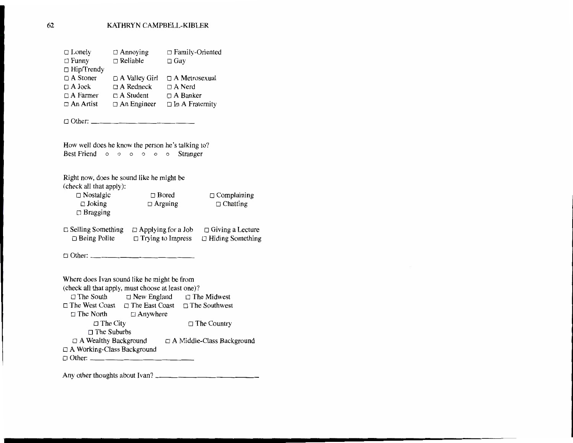| $\Box$ Lonely     | $\Box$ Annoying      | $\Box$ Family-Oriented |
|-------------------|----------------------|------------------------|
| $\Box$ Funny      | $\Box$ Reliable      | $\Box$ Gay             |
| $\Box$ Hip/Trendy |                      |                        |
| $\Box$ A Stoner   | $\Box$ A Valley Girl | $\Box$ A Metrosexual   |
| $\Box$ A Jock     | $\Box$ A Redneck     | $\Box$ A Nerd          |
| $\Box$ A Farmer   | $\Box$ A Student     | $\Box$ A Banker        |
| $\Box$ An Artist  | $\Box$ An Engineer   | $\Box$ In A Fraternity |
|                   |                      |                        |

 $\Box$  Other:

How well does he know the person he's talking to? Best Friend o o o o o Stranger

| Right now, does he sound like he might be<br>(check all that apply): |                                                       |                                                    |
|----------------------------------------------------------------------|-------------------------------------------------------|----------------------------------------------------|
| $\Box$ Nostalgic<br>$\Box$ Joking<br>$\Box$ Bragging                 | $\Box$ Bored<br>$\Box$ Arguing                        | $\Box$ Complaining<br>$\Box$ Chatting              |
| $\Box$ Selling Something<br>$\Box$ Being Polite                      | $\Box$ Applying for a Job<br>$\Box$ Trying to Impress | $\Box$ Giving a Lecture<br>$\Box$ Hiding Something |

 $\Box$  Other:  $\_\_$ 

Where does Ivan sound like he might be from (check all that apply, must choose at least one)?<br>  $\square$  The South  $\square$  The Least  $\square$  The  $\Box$  New England  $\Box$  The Midwest  $\Box$  The West Coast  $\Box$  The East Coast  $\Box$  The Southwest  $\Box$  The North  $\Box$  Anywhere  $\Box$  The City  $\Box$  The Country  $\Box$  The Suburbs  $\Box$  A Wealthy Background  $\Box$  A Middle-Class Background o A Working-Class Background o Other: \_\_\_\_\_\_\_\_\_\_\_\_ \_

Any other thoughts about Ivan?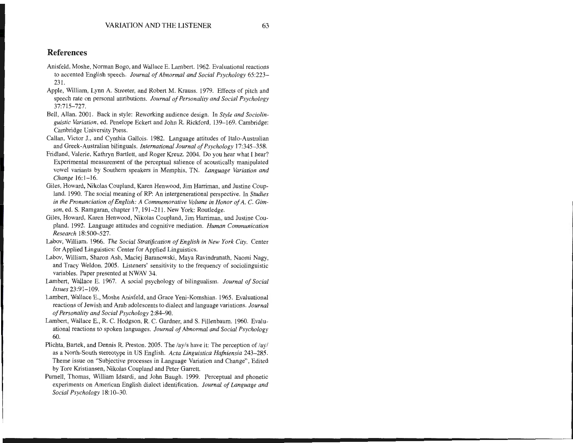#### **References**

- Anisfeld, Moshe, Norman Bogo, and Wallace E. Lambert. 1962. Evaluational reactions to accented English speech. *Journal of Abnormal and Social Psychology* 65:223- 231.
- Apple, William, Lynn A. Streeter, and Robert M. Krauss. 1979. Effects of pitch and speech rate on personal attributions. *Journal of Personality and Social Psychology*  37:715-727.
- Bell, Allan. 2001. Back in style: Reworking audience design. In *Style and Sociolinguistic Variation,* ed. Penelope Eckert and John R. Rickford, 139-169. Cambridge: Cambridge University Press.
- Callan, Victor J., and Cynthia Gallais. 1982. Language attitudes of Halo-Australian and Greek-Australian bilinguals. *International Journal of Psychology* 17:345-358.
- Fridland, Valerie, Kathryn Bartlett, and Roger Kreuz. 2004. Do you hear what I hear? Experimental measurement of the perceptual salience of acoustically manipulated vowel variants by Southern speakers in Memphis, TN. *Language Variation and Change* 16:1-16.
- Giles, Howard, Nikolas Coupland, Karen Henwood, Jim Harriman, and Justine Coupland. 1990. The social meaning of RP: An intergenerational perspective. In *Studies in the Pronunciation of English: A Commemorative Volume in Honor of A.* C. *Gimson,* ed. S. Ramgaran, chapter 17, 191-211. New York: Routledge.
- Giles, Howard, Karen Henwood, Nikolas Coupland, Jim Harriman, and Justine Coupland. 1992. Language attitudes and cognitive mediation. *Human Communication Research* 18:500-527.
- Labov, William. 1966. *The Social Stratification of English in New York City.* Center for Applied Linguistics: Center for Applied Linguistics.
- Labov, William, Sharon Ash, Maciej Baranowski, Maya Ravindranath, Naomi Nagy, and Tracy Weldon. 2005. Listeners' sensitivity to the frequency of sociolinguistic variables. Paper presented at NWAV 34.
- Lambert, Wallace E. 1967. A social psychology of bilingualism. *Journal of Social Issues* 23:91- 109.
- Lambert, Wallace E., Moshe Anisfeld, and Grace Yeni-Komshian. 1965. Evaluational reactions of Jewish and Arab adolescents to dialect and language variations. *Journal of Personality and Social Psychology* 2:84-90.
- Lambert, Wallace E., R. C. Hodgson, R. C. Gardner, and S. Fillenbaum. 1960. Evaluational reactions to spoken languages. *Journal of Abnormal and Social Psychology*  60.
- Plichta, Bartek, and Dennis R. Preston. 2005. The  $\langle ay/s \rangle$  have it: The perception of  $\langle ay/s \rangle$ as a North-South stereotype in US English. *Acta Linguistica Hafniensia* 243-285. Theme issue on "Subjective processes in Language Variation and Change", Edited by Tore Kristiansen, Nikolas Coupland and Peter Garrett.
- Purnell, Thomas, William Idsardi, and John Baugh. 1999. Perceptual and phonetic experiments on American English dialect identification. *Journal of Language and Social Psychology* 18:10-30.